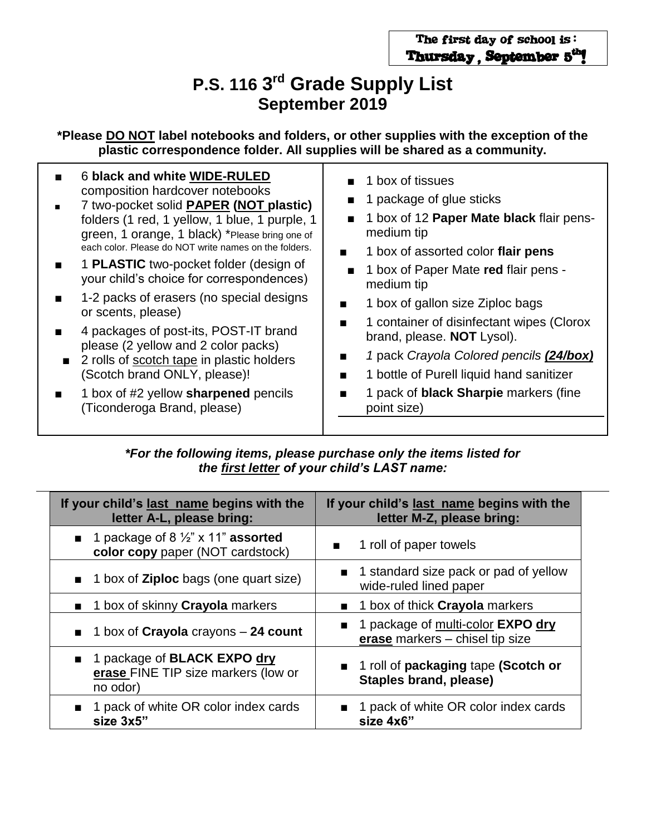## **P.S. 116 3<sup>rd</sup> Grade Supply List September 2019**

**\*Please DO NOT label notebooks and folders, or other supplies with the exception of the plastic correspondence folder. All supplies will be shared as a community.**

| 6 black and white WIDE-RULED<br>1 box of tissues<br>composition hardcover notebooks<br>1 package of glue sticks<br>7 two-pocket solid <b>PAPER (NOT plastic)</b><br>1 box of 12 Paper Mate black flair pens-<br>folders (1 red, 1 yellow, 1 blue, 1 purple, 1<br>$\mathbf{r}$<br>medium tip<br>green, 1 orange, 1 black) *Please bring one of<br>each color. Please do NOT write names on the folders.<br>1 box of assorted color flair pens<br>$\blacksquare$<br>1 <b>PLASTIC</b> two-pocket folder (design of<br>1 box of Paper Mate red flair pens -<br>your child's choice for correspondences)<br>medium tip<br>1-2 packs of erasers (no special designs<br>1 box of gallon size Ziploc bags<br>$\blacksquare$<br>or scents, please)<br>1 container of disinfectant wipes (Clorox<br>4 packages of post-its, POST-IT brand<br>brand, please. NOT Lysol).<br>please (2 yellow and 2 color packs)<br>1 pack Crayola Colored pencils (24/box)<br>2 rolls of scotch tape in plastic holders<br>(Scotch brand ONLY, please)!<br>1 bottle of Purell liquid hand sanitizer<br>1 pack of black Sharpie markers (fine<br>1 box of #2 yellow sharpened pencils<br>(Ticonderoga Brand, please)<br>point size) |
|---------------------------------------------------------------------------------------------------------------------------------------------------------------------------------------------------------------------------------------------------------------------------------------------------------------------------------------------------------------------------------------------------------------------------------------------------------------------------------------------------------------------------------------------------------------------------------------------------------------------------------------------------------------------------------------------------------------------------------------------------------------------------------------------------------------------------------------------------------------------------------------------------------------------------------------------------------------------------------------------------------------------------------------------------------------------------------------------------------------------------------------------------------------------------------------------------------|
|---------------------------------------------------------------------------------------------------------------------------------------------------------------------------------------------------------------------------------------------------------------------------------------------------------------------------------------------------------------------------------------------------------------------------------------------------------------------------------------------------------------------------------------------------------------------------------------------------------------------------------------------------------------------------------------------------------------------------------------------------------------------------------------------------------------------------------------------------------------------------------------------------------------------------------------------------------------------------------------------------------------------------------------------------------------------------------------------------------------------------------------------------------------------------------------------------------|

*\*For the following items, please purchase only the items listed for the first letter of your child's LAST name:*

| If your child's last name begins with the<br>letter A-L, please bring:                            | If your child's last name begins with the<br>letter M-Z, please bring: |
|---------------------------------------------------------------------------------------------------|------------------------------------------------------------------------|
| <b>1</b> 1 package of 8 $\frac{1}{2}$ " x 11" <b>assorted</b><br>color copy paper (NOT cardstock) | 1 roll of paper towels<br>$\blacksquare$                               |
| <b>1</b> box of <b>Ziploc</b> bags (one quart size)                                               | ■ 1 standard size pack or pad of yellow<br>wide-ruled lined paper      |
| <b>1 box of skinny Crayola markers</b>                                                            | <b>1 box of thick Crayola markers</b>                                  |
| $\blacksquare$ 1 box of Crayola crayons – 24 count                                                | 1 package of multi-color EXPO dry<br>erase markers - chisel tip size   |
| ■ 1 package of <b>BLACK EXPO dry</b><br>erase FINE TIP size markers (low or<br>no odor)           | ■ 1 roll of packaging tape (Scotch or<br>Staples brand, please)        |
| ■ 1 pack of white OR color index cards<br>size 3x5"                                               | 1 pack of white OR color index cards<br>size 4x6"                      |